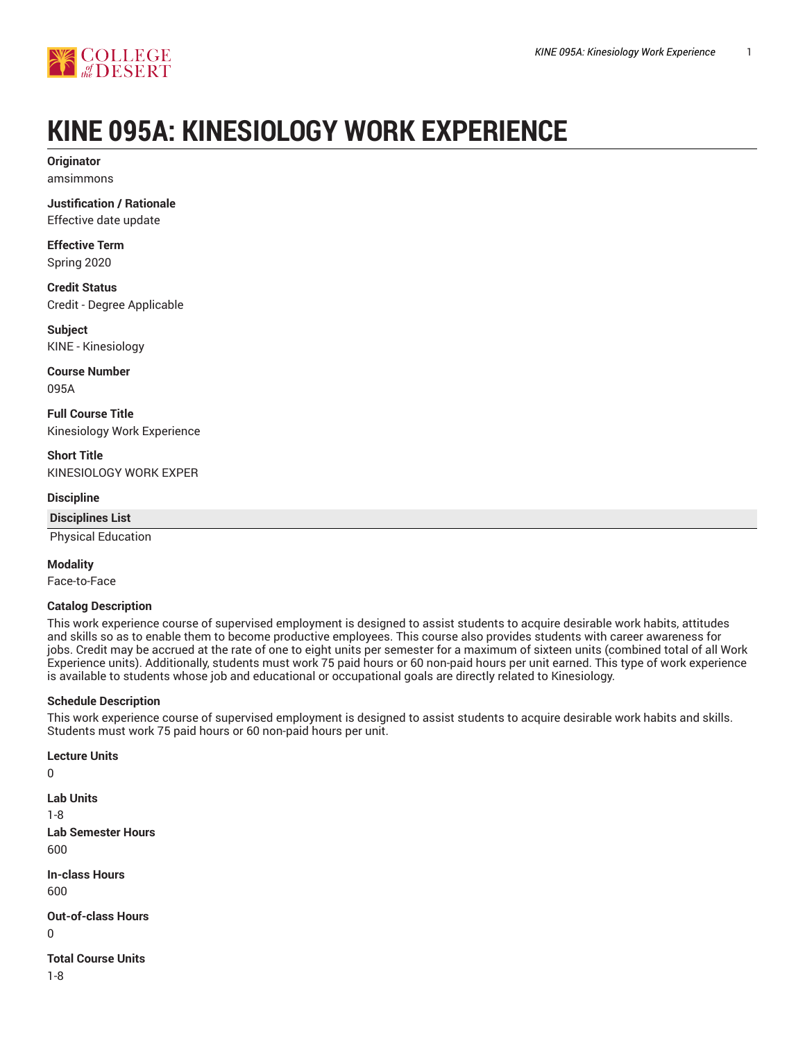

# **KINE 095A: KINESIOLOGY WORK EXPERIENCE**

**Originator** amsimmons

**Justification / Rationale** Effective date update

**Effective Term**

Spring 2020

**Credit Status** Credit - Degree Applicable

**Subject** KINE - Kinesiology

**Course Number** 095A

**Full Course Title** Kinesiology Work Experience

**Short Title** KINESIOLOGY WORK EXPER

**Discipline**

**Disciplines List**

Physical Education

**Modality**

0

0

Face-to-Face

#### **Catalog Description**

This work experience course of supervised employment is designed to assist students to acquire desirable work habits, attitudes and skills so as to enable them to become productive employees. This course also provides students with career awareness for jobs. Credit may be accrued at the rate of one to eight units per semester for a maximum of sixteen units (combined total of all Work Experience units). Additionally, students must work 75 paid hours or 60 non-paid hours per unit earned. This type of work experience is available to students whose job and educational or occupational goals are directly related to Kinesiology.

### **Schedule Description**

This work experience course of supervised employment is designed to assist students to acquire desirable work habits and skills. Students must work 75 paid hours or 60 non-paid hours per unit.

**Lecture Units Lab Units** 1-8 **Lab Semester Hours** 600 **In-class Hours** 600 **Out-of-class Hours Total Course Units** 1-8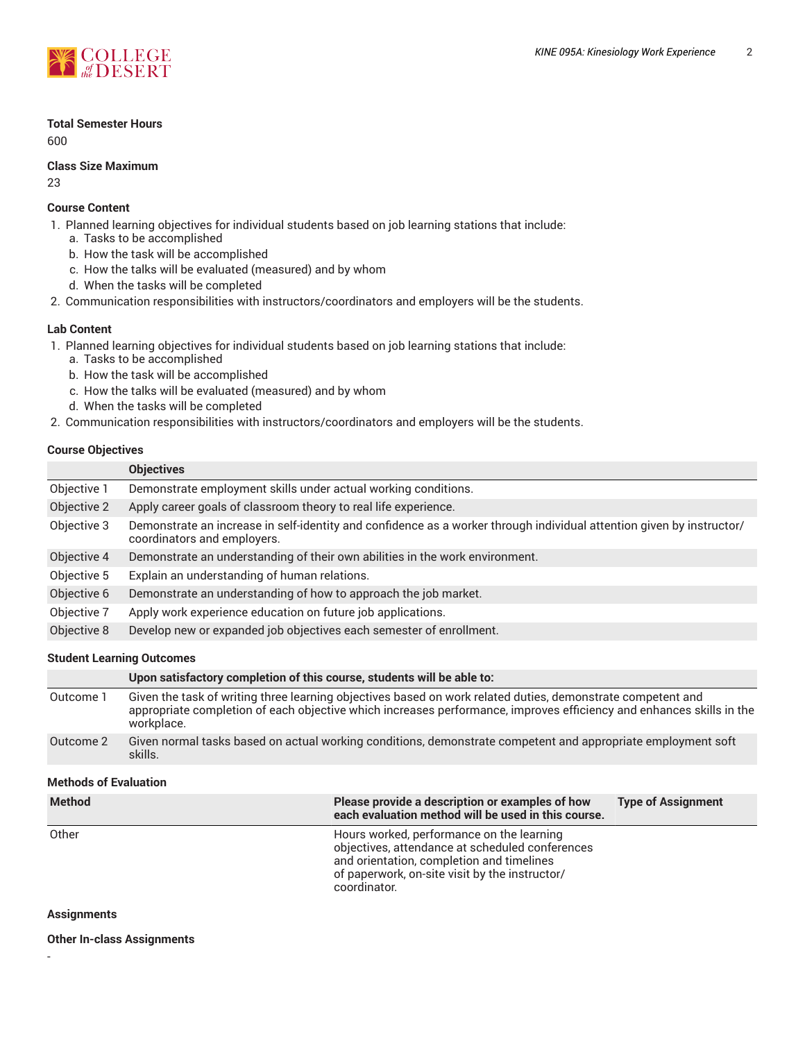

#### **Total Semester Hours**

600

#### **Class Size Maximum**

23

#### **Course Content**

- 1. Planned learning objectives for individual students based on job learning stations that include:
	- a. Tasks to be accomplished
	- b. How the task will be accomplished
	- c. How the talks will be evaluated (measured) and by whom
	- d. When the tasks will be completed
- 2. Communication responsibilities with instructors/coordinators and employers will be the students.

#### **Lab Content**

1. Planned learning objectives for individual students based on job learning stations that include:

- a. Tasks to be accomplished
- b. How the task will be accomplished
- c. How the talks will be evaluated (measured) and by whom
- d. When the tasks will be completed
- 2. Communication responsibilities with instructors/coordinators and employers will be the students.

#### **Course Objectives**

|             | <b>Objectives</b>                                                                                                                                    |  |
|-------------|------------------------------------------------------------------------------------------------------------------------------------------------------|--|
| Objective 1 | Demonstrate employment skills under actual working conditions.                                                                                       |  |
| Objective 2 | Apply career goals of classroom theory to real life experience.                                                                                      |  |
| Objective 3 | Demonstrate an increase in self-identity and confidence as a worker through individual attention given by instructor/<br>coordinators and employers. |  |
| Objective 4 | Demonstrate an understanding of their own abilities in the work environment.                                                                         |  |
| Objective 5 | Explain an understanding of human relations.                                                                                                         |  |
| Objective 6 | Demonstrate an understanding of how to approach the job market.                                                                                      |  |
| Objective 7 | Apply work experience education on future job applications.                                                                                          |  |
| Objective 8 | Develop new or expanded job objectives each semester of enrollment.                                                                                  |  |
|             |                                                                                                                                                      |  |

#### **Student Learning Outcomes**

|           | Upon satisfactory completion of this course, students will be able to:                                                                                                                                                                            |
|-----------|---------------------------------------------------------------------------------------------------------------------------------------------------------------------------------------------------------------------------------------------------|
| Outcome 1 | Given the task of writing three learning objectives based on work related duties, demonstrate competent and<br>appropriate completion of each objective which increases performance, improves efficiency and enhances skills in the<br>workplace. |
| Outcome 2 | Given normal tasks based on actual working conditions, demonstrate competent and appropriate employment soft<br>skills.                                                                                                                           |

#### **Methods of Evaluation**

| <b>Method</b> | Please provide a description or examples of how<br>each evaluation method will be used in this course.                                                                                                      | <b>Type of Assignment</b> |
|---------------|-------------------------------------------------------------------------------------------------------------------------------------------------------------------------------------------------------------|---------------------------|
| Other         | Hours worked, performance on the learning<br>objectives, attendance at scheduled conferences<br>and orientation, completion and timelines<br>of paperwork, on-site visit by the instructor/<br>coordinator. |                           |

#### **Assignments**

-

**Other In-class Assignments**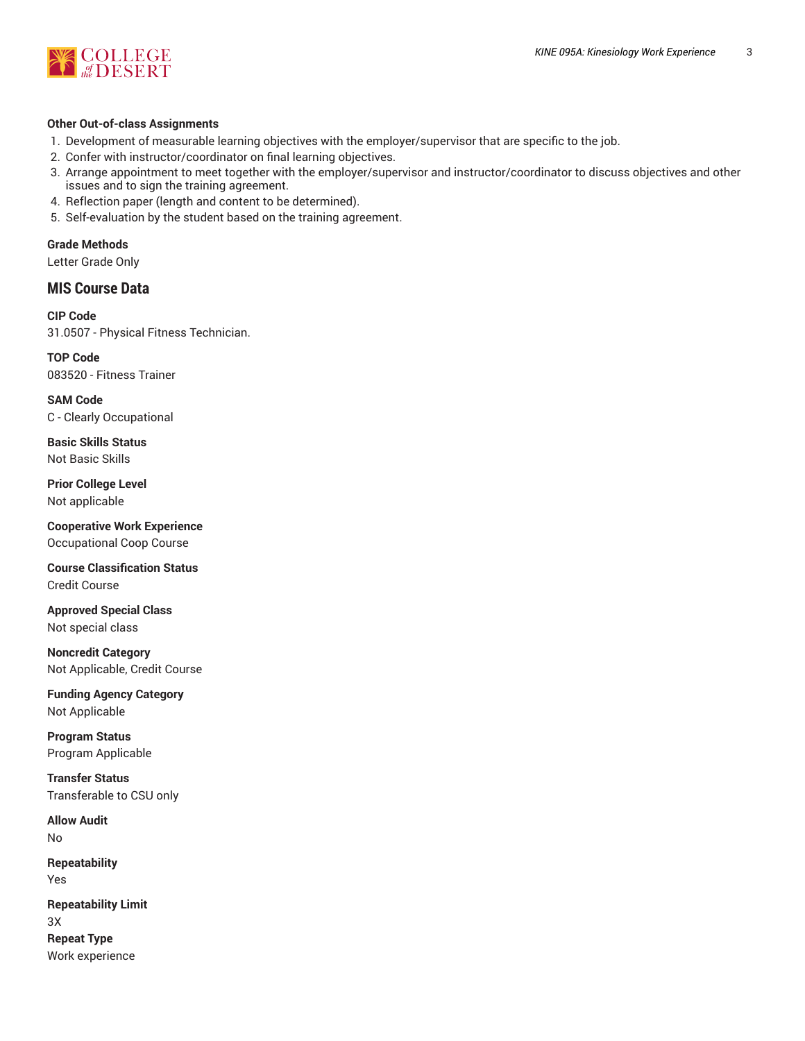

#### **Other Out-of-class Assignments**

- 1. Development of measurable learning objectives with the employer/supervisor that are specific to the job.
- 2. Confer with instructor/coordinator on final learning objectives.
- 3. Arrange appointment to meet together with the employer/supervisor and instructor/coordinator to discuss objectives and other issues and to sign the training agreement.
- 4. Reflection paper (length and content to be determined).
- 5. Self-evaluation by the student based on the training agreement.

**Grade Methods**

Letter Grade Only

## **MIS Course Data**

**CIP Code** 31.0507 - Physical Fitness Technician.

**TOP Code** 083520 - Fitness Trainer

**SAM Code** C - Clearly Occupational

**Basic Skills Status** Not Basic Skills

**Prior College Level** Not applicable

**Cooperative Work Experience** Occupational Coop Course

**Course Classification Status** Credit Course

**Approved Special Class** Not special class

**Noncredit Category** Not Applicable, Credit Course

**Funding Agency Category** Not Applicable

**Program Status** Program Applicable

**Transfer Status** Transferable to CSU only

**Allow Audit** No

**Repeatability** Yes

**Repeatability Limit** 3X **Repeat Type**

Work experience